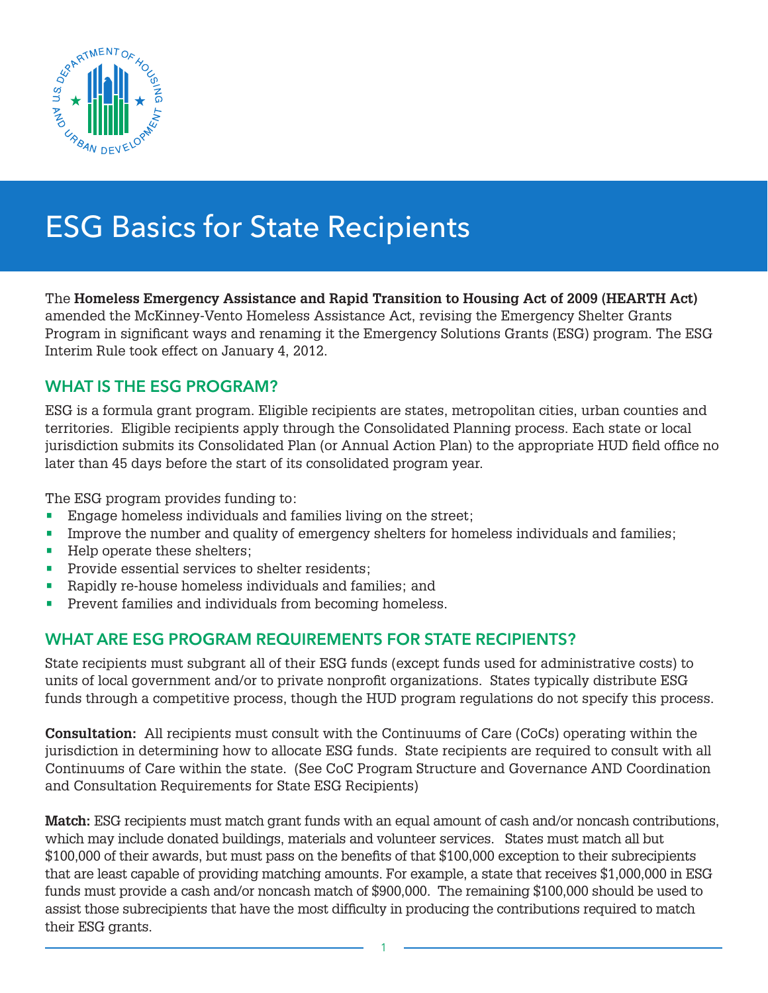

# ESG Basics for State Recipients

The **Homeless Emergency Assistance and Rapid Transition to Housing Act of 2009 (HEARTH Act)**  amended the McKinney-Vento Homeless Assistance Act, revising the Emergency Shelter Grants Program in significant ways and renaming it the Emergency Solutions Grants (ESG) program. The ESG Interim Rule took effect on January 4, 2012.

# WHAT IS THE ESG PROGRAM?

ESG is a formula grant program. Eligible recipients are states, metropolitan cities, urban counties and territories. Eligible recipients apply through the Consolidated Planning process. Each state or local jurisdiction submits its Consolidated Plan (or Annual Action Plan) to the appropriate HUD field office no later than 45 days before the start of its consolidated program year.

The ESG program provides funding to:

- Engage homeless individuals and families living on the street;
- Improve the number and quality of emergency shelters for homeless individuals and families;
- Help operate these shelters;
- Provide essential services to shelter residents:
- Rapidly re-house homeless individuals and families; and
- Prevent families and individuals from becoming homeless.

# WHAT ARE ESG PROGRAM REQUIREMENTS FOR STATE RECIPIENTS?

State recipients must subgrant all of their ESG funds (except funds used for administrative costs) to units of local government and/or to private nonprofit organizations. States typically distribute ESG funds through a competitive process, though the HUD program regulations do not specify this process.

**Consultation:** All recipients must consult with the Continuums of Care (CoCs) operating within the jurisdiction in determining how to allocate ESG funds. State recipients are required to consult with all Continuums of Care within the state. (See CoC Program Structure and Governance AND Coordination and Consultation Requirements for State ESG Recipients)

**Match:** ESG recipients must match grant funds with an equal amount of cash and/or noncash contributions, which may include donated buildings, materials and volunteer services. States must match all but \$100,000 of their awards, but must pass on the benefits of that \$100,000 exception to their subrecipients that are least capable of providing matching amounts. For example, a state that receives \$1,000,000 in ESG funds must provide a cash and/or noncash match of \$900,000. The remaining \$100,000 should be used to assist those subrecipients that have the most difficulty in producing the contributions required to match their ESG grants.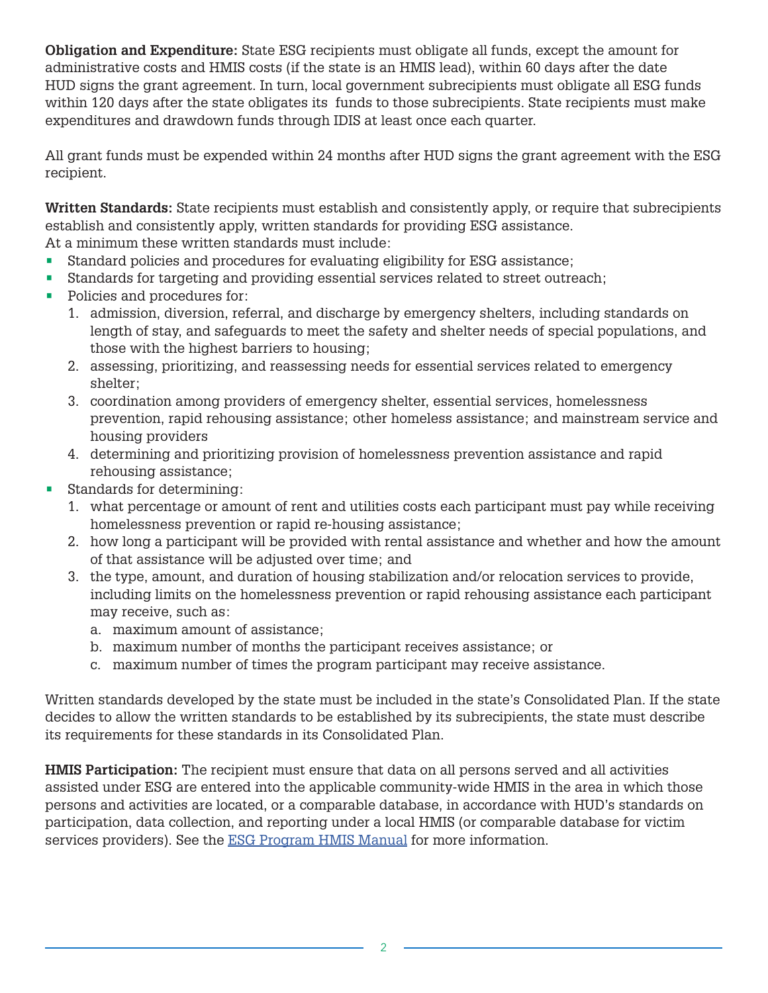**Obligation and Expenditure:** State ESG recipients must obligate all funds, except the amount for administrative costs and HMIS costs (if the state is an HMIS lead), within 60 days after the date HUD signs the grant agreement. In turn, local government subrecipients must obligate all ESG funds within 120 days after the state obligates its funds to those subrecipients. State recipients must make expenditures and drawdown funds through IDIS at least once each quarter.

All grant funds must be expended within 24 months after HUD signs the grant agreement with the ESG recipient.

**Written Standards:** State recipients must establish and consistently apply, or require that subrecipients establish and consistently apply, written standards for providing ESG assistance. At a minimum these written standards must include:

• Standard policies and procedures for evaluating eligibility for ESG assistance;

- Standards for targeting and providing essential services related to street outreach;
- Policies and procedures for:
	- 1. admission, diversion, referral, and discharge by emergency shelters, including standards on length of stay, and safeguards to meet the safety and shelter needs of special populations, and those with the highest barriers to housing;
	- 2. assessing, prioritizing, and reassessing needs for essential services related to emergency shelter;
	- 3. coordination among providers of emergency shelter, essential services, homelessness prevention, rapid rehousing assistance; other homeless assistance; and mainstream service and housing providers
	- 4. determining and prioritizing provision of homelessness prevention assistance and rapid rehousing assistance;
- Standards for determining:
	- 1. what percentage or amount of rent and utilities costs each participant must pay while receiving homelessness prevention or rapid re-housing assistance;
	- 2. how long a participant will be provided with rental assistance and whether and how the amount of that assistance will be adjusted over time; and
	- 3. the type, amount, and duration of housing stabilization and/or relocation services to provide, including limits on the homelessness prevention or rapid rehousing assistance each participant may receive, such as:
		- a. maximum amount of assistance;
		- b. maximum number of months the participant receives assistance; or
		- c. maximum number of times the program participant may receive assistance.

Written standards developed by the state must be included in the state's Consolidated Plan. If the state decides to allow the written standards to be established by its subrecipients, the state must describe its requirements for these standards in its Consolidated Plan.

**HMIS Participation:** The recipient must ensure that data on all persons served and all activities assisted under ESG are entered into the applicable community-wide HMIS in the area in which those persons and activities are located, or a comparable database, in accordance with HUD's standards on participation, data collection, and reporting under a local HMIS (or comparable database for victim services providers). See the **ESG Program HMIS Manual** for more information.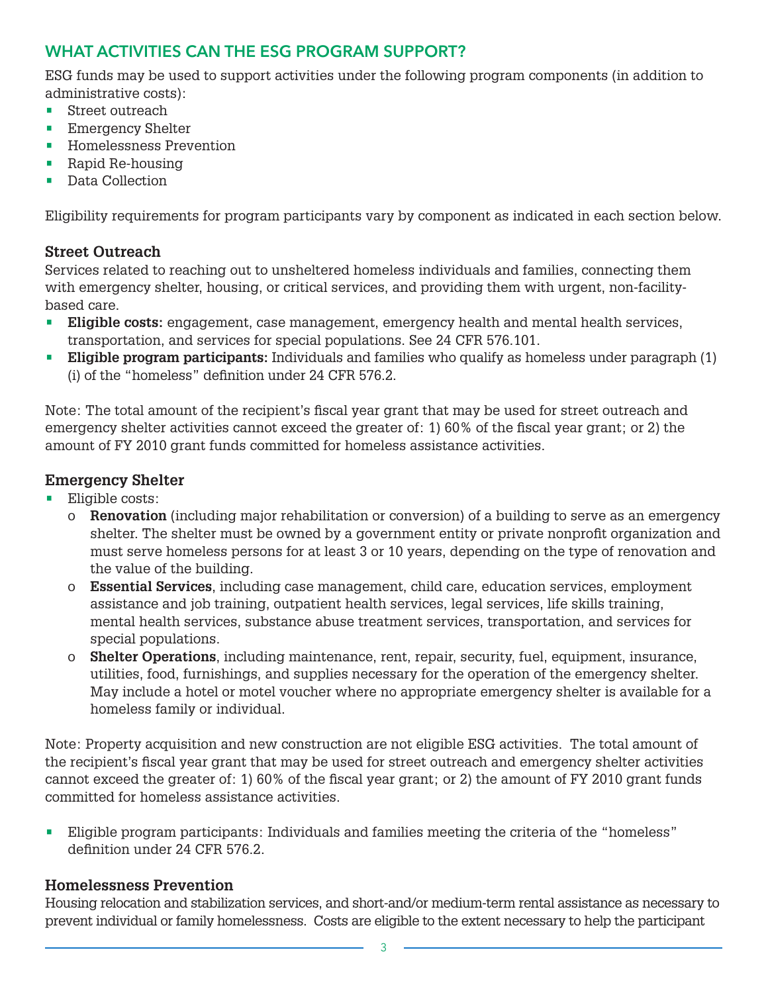# WHAT ACTIVITIES CAN THE ESG PROGRAM SUPPORT?

ESG funds may be used to support activities under the following program components (in addition to administrative costs):

- Street outreach
- **Emergency Shelter**
- Homelessness Prevention
- Rapid Re-housing
- Data Collection

Eligibility requirements for program participants vary by component as indicated in each section below.

#### **Street Outreach**

Services related to reaching out to unsheltered homeless individuals and families, connecting them with emergency shelter, housing, or critical services, and providing them with urgent, non-facilitybased care.

- **• Eligible costs:** engagement, case management, emergency health and mental health services, transportation, and services for special populations. See 24 CFR 576.101.
- **• Eligible program participants:** Individuals and families who qualify as homeless under paragraph (1) (i) of the "homeless" definition under 24 CFR 576.2.

Note: The total amount of the recipient's fiscal year grant that may be used for street outreach and emergency shelter activities cannot exceed the greater of: 1) 60% of the fiscal year grant; or 2) the amount of FY 2010 grant funds committed for homeless assistance activities.

#### **Emergency Shelter**

- **•** Eligible costs:
	- o **Renovation** (including major rehabilitation or conversion) of a building to serve as an emergency shelter. The shelter must be owned by a government entity or private nonprofit organization and must serve homeless persons for at least 3 or 10 years, depending on the type of renovation and the value of the building.
	- o **Essential Services**, including case management, child care, education services, employment assistance and job training, outpatient health services, legal services, life skills training, mental health services, substance abuse treatment services, transportation, and services for special populations.
	- o **Shelter Operations**, including maintenance, rent, repair, security, fuel, equipment, insurance, utilities, food, furnishings, and supplies necessary for the operation of the emergency shelter. May include a hotel or motel voucher where no appropriate emergency shelter is available for a homeless family or individual.

Note: Property acquisition and new construction are not eligible ESG activities. The total amount of the recipient's fiscal year grant that may be used for street outreach and emergency shelter activities cannot exceed the greater of: 1) 60% of the fiscal year grant; or 2) the amount of FY 2010 grant funds committed for homeless assistance activities.

• Eligible program participants: Individuals and families meeting the criteria of the "homeless" definition under 24 CFR 576.2.

#### **Homelessness Prevention**

Housing relocation and stabilization services, and short-and/or medium-term rental assistance as necessary to prevent individual or family homelessness. Costs are eligible to the extent necessary to help the participant